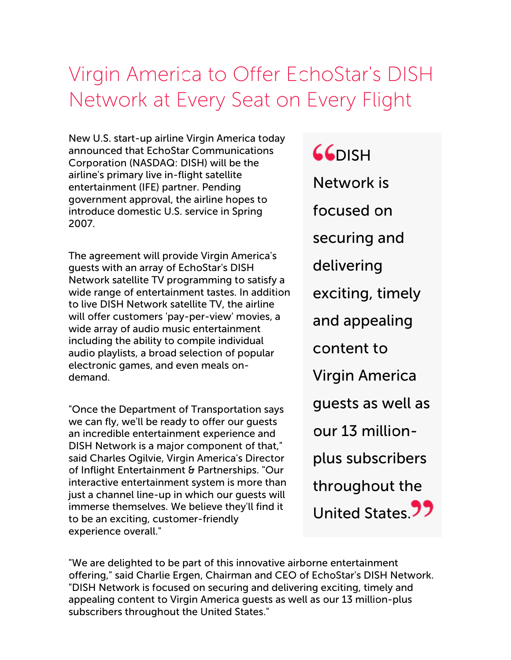## Virgin America to Offer EchoStar's DISH Network at Every Seat on Every Flight

New U.S. start-up airline Virgin America today announced that EchoStar Communications Corporation (NASDAQ: DISH) will be the airline's primary live in-flight satellite entertainment (IFE) partner. Pending government approval, the airline hopes to introduce domestic U.S. service in Spring 2007.

The agreement will provide Virgin America's guests with an array of EchoStar's DISH Network satellite TV programming to satisfy a wide range of entertainment tastes. In addition to live DISH Network satellite TV, the airline will offer customers 'pay-per-view' movies, a wide array of audio music entertainment including the ability to compile individual audio playlists, a broad selection of popular electronic games, and even meals ondemand.

"Once the Department of Transportation says we can fly, we'll be ready to offer our guests an incredible entertainment experience and DISH Network is a major component of that," said Charles Ogilvie, Virgin America's Director of Inflight Entertainment & Partnerships. "Our interactive entertainment system is more than just a channel line-up in which our guests will immerse themselves. We believe they'll find it to be an exciting, customer-friendly experience overall."

**GGDISH** Network is focused on securing and delivering exciting, timely and appealing content to Virgin America guests as well as our 13 millionplus subscribers throughout the United States<sup>99</sup>

"We are delighted to be part of this innovative airborne entertainment offering," said Charlie Ergen, Chairman and CEO of EchoStar's DISH Network. "DISH Network is focused on securing and delivering exciting, timely and appealing content to Virgin America guests as well as our 13 million-plus subscribers throughout the United States."